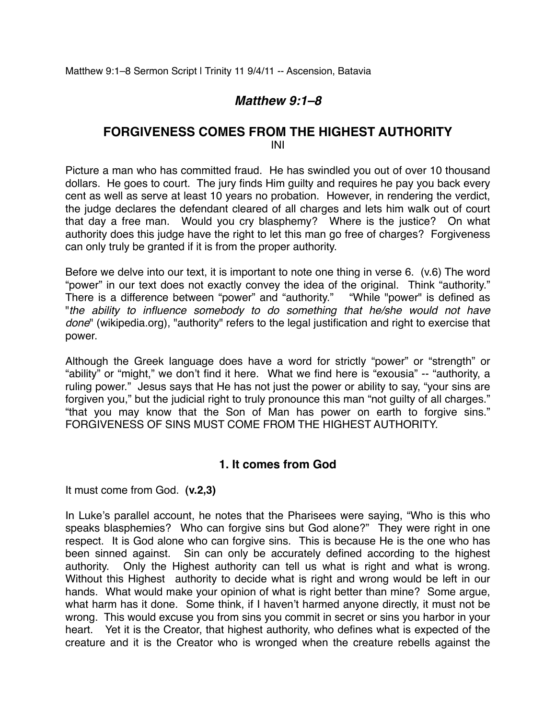# *Matthew 9:1–8*

## **FORGIVENESS COMES FROM THE HIGHEST AUTHORITY** INI

Picture a man who has committed fraud. He has swindled you out of over 10 thousand dollars. He goes to court. The jury finds Him guilty and requires he pay you back every cent as well as serve at least 10 years no probation. However, in rendering the verdict, the judge declares the defendant cleared of all charges and lets him walk out of court that day a free man. Would you cry blasphemy? Where is the justice? On what authority does this judge have the right to let this man go free of charges? Forgiveness can only truly be granted if it is from the proper authority.

Before we delve into our text, it is important to note one thing in verse 6. (v.6) The word "power" in our text does not exactly convey the idea of the original. Think "authority." There is a difference between "power" and "authority." "While "power" is defined as "*the ability to influence somebody to do something that he/she would not have done*" (wikipedia.org), "authority" refers to the legal justification and right to exercise that power.

Although the Greek language does have a word for strictly "power" or "strength" or "ability" or "might," we don't find it here. What we find here is "exousia" -- "authority, a ruling power." Jesus says that He has not just the power or ability to say, "your sins are forgiven you," but the judicial right to truly pronounce this man "not guilty of all charges." "that you may know that the Son of Man has power on earth to forgive sins." FORGIVENESS OF SINS MUST COME FROM THE HIGHEST AUTHORITY.

### **1. It comes from God**

It must come from God. **(v.2,3)**

In Luke's parallel account, he notes that the Pharisees were saying, "Who is this who speaks blasphemies? Who can forgive sins but God alone?" They were right in one respect. It is God alone who can forgive sins. This is because He is the one who has been sinned against. Sin can only be accurately defined according to the highest authority. Only the Highest authority can tell us what is right and what is wrong. Without this Highest authority to decide what is right and wrong would be left in our hands. What would make your opinion of what is right better than mine? Some argue, what harm has it done. Some think, if I haven't harmed anyone directly, it must not be wrong. This would excuse you from sins you commit in secret or sins you harbor in your heart. Yet it is the Creator, that highest authority, who defines what is expected of the creature and it is the Creator who is wronged when the creature rebells against the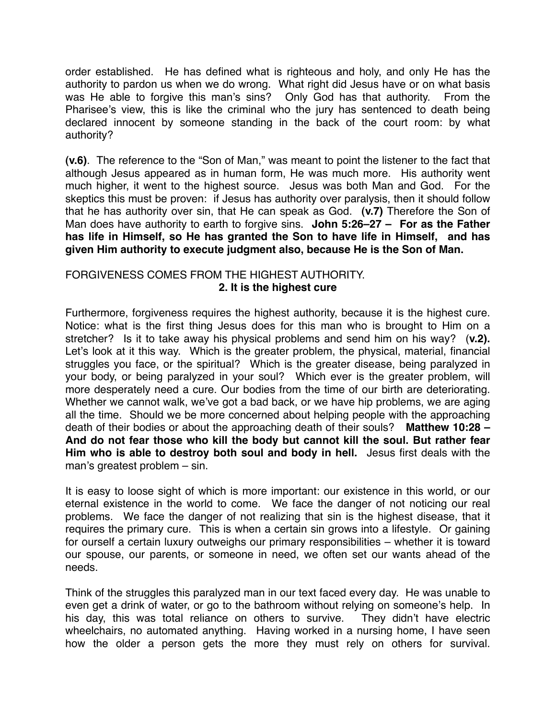order established. He has defined what is righteous and holy, and only He has the authority to pardon us when we do wrong. What right did Jesus have or on what basis was He able to forgive this man's sins? Only God has that authority. From the Pharisee's view, this is like the criminal who the jury has sentenced to death being declared innocent by someone standing in the back of the court room: by what authority?

**(v.6)**. The reference to the "Son of Man," was meant to point the listener to the fact that although Jesus appeared as in human form, He was much more. His authority went much higher, it went to the highest source. Jesus was both Man and God. For the skeptics this must be proven: if Jesus has authority over paralysis, then it should follow that he has authority over sin, that He can speak as God. **(v.7)** Therefore the Son of Man does have authority to earth to forgive sins. **John 5:26–27 – For as the Father has life in Himself, so He has granted the Son to have life in Himself, and has given Him authority to execute judgment also, because He is the Son of Man.** 

### FORGIVENESS COMES FROM THE HIGHEST AUTHORITY. **2. It is the highest cure**

Furthermore, forgiveness requires the highest authority, because it is the highest cure. Notice: what is the first thing Jesus does for this man who is brought to Him on a stretcher? Is it to take away his physical problems and send him on his way? (**v.2).** Let's look at it this way. Which is the greater problem, the physical, material, financial struggles you face, or the spiritual? Which is the greater disease, being paralyzed in your body, or being paralyzed in your soul? Which ever is the greater problem, will more desperately need a cure. Our bodies from the time of our birth are deteriorating. Whether we cannot walk, we've got a bad back, or we have hip problems, we are aging all the time. Should we be more concerned about helping people with the approaching death of their bodies or about the approaching death of their souls? **Matthew 10:28 – And do not fear those who kill the body but cannot kill the soul. But rather fear Him who is able to destroy both soul and body in hell.** Jesus first deals with the man's greatest problem – sin.

It is easy to loose sight of which is more important: our existence in this world, or our eternal existence in the world to come. We face the danger of not noticing our real problems. We face the danger of not realizing that sin is the highest disease, that it requires the primary cure. This is when a certain sin grows into a lifestyle. Or gaining for ourself a certain luxury outweighs our primary responsibilities – whether it is toward our spouse, our parents, or someone in need, we often set our wants ahead of the needs.

Think of the struggles this paralyzed man in our text faced every day. He was unable to even get a drink of water, or go to the bathroom without relying on someone's help. In his day, this was total reliance on others to survive. They didn't have electric wheelchairs, no automated anything. Having worked in a nursing home, I have seen how the older a person gets the more they must rely on others for survival.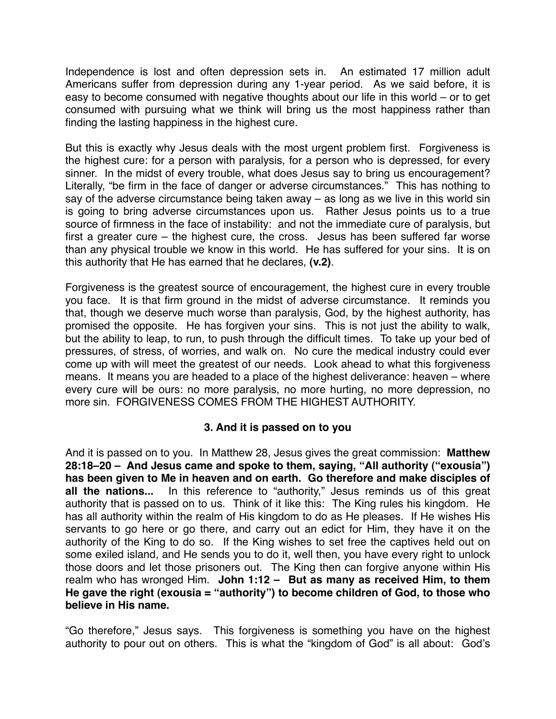Independence is lost and often depression sets in. An estimated 17 million adult Americans suffer from depression during any 1-year period. As we said before, it is easy to become consumed with negative thoughts about our life in this world – or to get consumed with pursuing what we think will bring us the most happiness rather than finding the lasting happiness in the highest cure.

But this is exactly why Jesus deals with the most urgent problem first. Forgiveness is the highest cure: for a person with paralysis, for a person who is depressed, for every sinner. In the midst of every trouble, what does Jesus say to bring us encouragement? Literally, "be firm in the face of danger or adverse circumstances." This has nothing to say of the adverse circumstance being taken away – as long as we live in this world sin is going to bring adverse circumstances upon us. Rather Jesus points us to a true source of firmness in the face of instability: and not the immediate cure of paralysis, but first a greater cure – the highest cure, the cross. Jesus has been suffered far worse than any physical trouble we know in this world. He has suffered for your sins. It is on this authority that He has earned that he declares, **(v.2)**.

Forgiveness is the greatest source of encouragement, the highest cure in every trouble you face. It is that firm ground in the midst of adverse circumstance. It reminds you that, though we deserve much worse than paralysis, God, by the highest authority, has promised the opposite. He has forgiven your sins. This is not just the ability to walk, but the ability to leap, to run, to push through the difficult times. To take up your bed of pressures, of stress, of worries, and walk on. No cure the medical industry could ever come up with will meet the greatest of our needs. Look ahead to what this forgiveness means. It means you are headed to a place of the highest deliverance: heaven – where every cure will be ours: no more paralysis, no more hurting, no more depression, no more sin. FORGIVENESS COMES FROM THE HIGHEST AUTHORITY.

### **3. And it is passed on to you**

And it is passed on to you. In Matthew 28, Jesus gives the great commission: **Matthew 28:18–20 – And Jesus came and spoke to them, saying, "All authority ("exousia") has been given to Me in heaven and on earth. Go therefore and make disciples of all the nations...** In this reference to "authority," Jesus reminds us of this great authority that is passed on to us. Think of it like this: The King rules his kingdom. He has all authority within the realm of His kingdom to do as He pleases. If He wishes His servants to go here or go there, and carry out an edict for Him, they have it on the authority of the King to do so. If the King wishes to set free the captives held out on some exiled island, and He sends you to do it, well then, you have every right to unlock those doors and let those prisoners out. The King then can forgive anyone within His realm who has wronged Him. **John 1:12 – But as many as received Him, to them He gave the right (exousia = "authority") to become children of God, to those who believe in His name.** 

"Go therefore," Jesus says. This forgiveness is something you have on the highest authority to pour out on others. This is what the "kingdom of God" is all about: God's